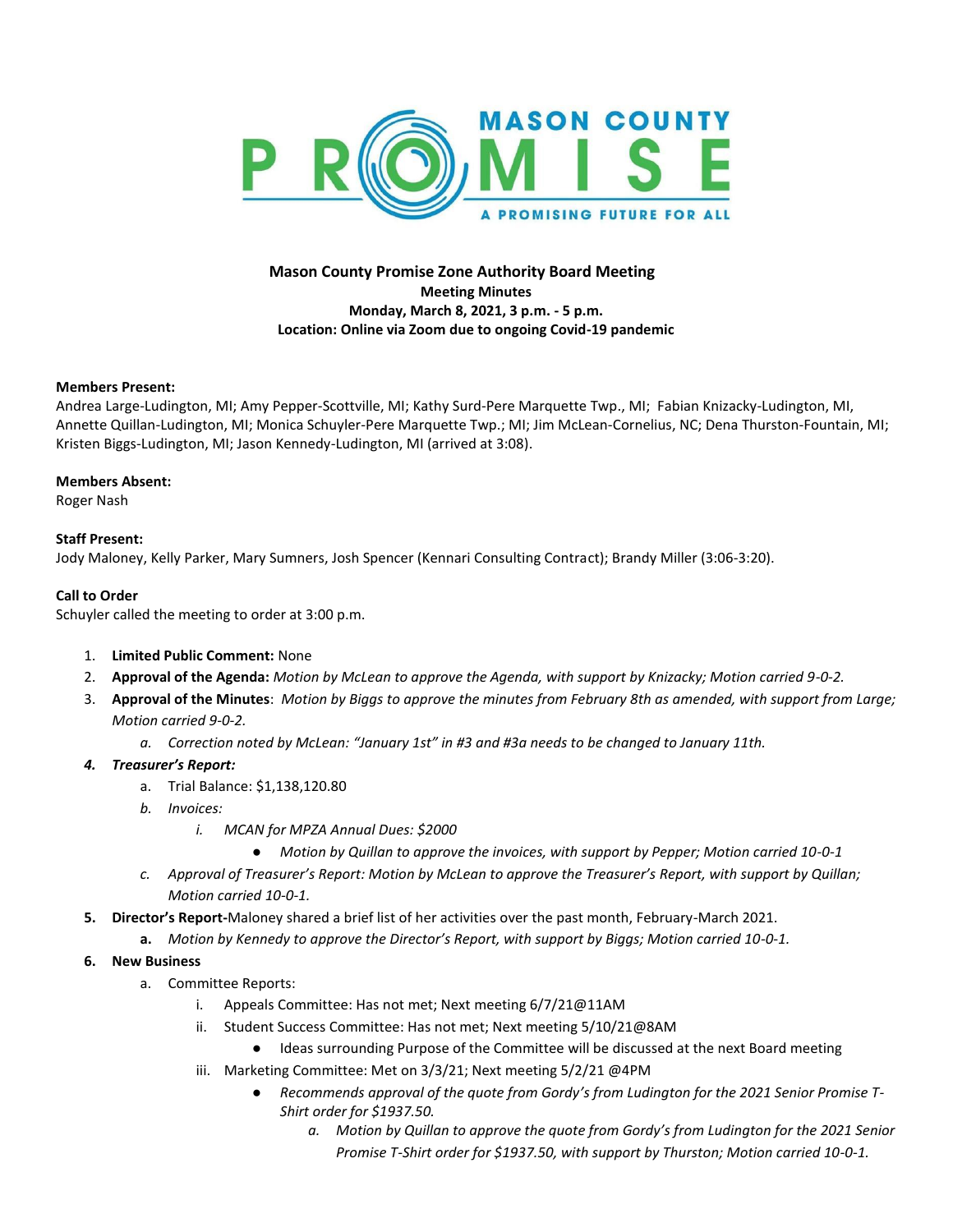

# **Mason County Promise Zone Authority Board Meeting Meeting Minutes Monday, March 8, 2021, 3 p.m. - 5 p.m. Location: Online via Zoom due to ongoing Covid-19 pandemic**

### **Members Present:**

Andrea Large-Ludington, MI; Amy Pepper-Scottville, MI; Kathy Surd-Pere Marquette Twp., MI; Fabian Knizacky-Ludington, MI, Annette Quillan-Ludington, MI; Monica Schuyler-Pere Marquette Twp.; MI; Jim McLean-Cornelius, NC; Dena Thurston-Fountain, MI; Kristen Biggs-Ludington, MI; Jason Kennedy-Ludington, MI (arrived at 3:08).

### **Members Absent:**

Roger Nash

# **Staff Present:**

Jody Maloney, Kelly Parker, Mary Sumners, Josh Spencer (Kennari Consulting Contract); Brandy Miller (3:06-3:20).

# **Call to Order**

Schuyler called the meeting to order at 3:00 p.m.

- 1. **Limited Public Comment:** None
- 2. **Approval of the Agenda:** *Motion by McLean to approve the Agenda, with support by Knizacky; Motion carried 9-0-2.*
- 3. **Approval of the Minutes**: *Motion by Biggs to approve the minutes from February 8th as amended, with support from Large; Motion carried 9-0-2.*
	- *a. Correction noted by McLean: "January 1st" in #3 and #3a needs to be changed to January 11th.*
- *4. Treasurer's Report:* 
	- a. Trial Balance: \$1,138,120.80
	- *b. Invoices:* 
		- *i. MCAN for MPZA Annual Dues: \$2000*
			- *Motion by Quillan to approve the invoices, with support by Pepper; Motion carried 10-0-1*
	- *c. Approval of Treasurer's Report: Motion by McLean to approve the Treasurer's Report, with support by Quillan; Motion carried 10-0-1.*
- **5. Director's Report-**Maloney shared a brief list of her activities over the past month, February-March 2021.
	- **a.** *Motion by Kennedy to approve the Director's Report, with support by Biggs; Motion carried 10-0-1.*
- **6. New Business**
	- a. Committee Reports:
		- i. Appeals Committee: Has not met; Next meeting 6/7/21@11AM
		- ii. Student Success Committee: Has not met; Next meeting 5/10/21@8AM
			- Ideas surrounding Purpose of the Committee will be discussed at the next Board meeting
		- iii. Marketing Committee: Met on 3/3/21; Next meeting 5/2/21 @4PM
			- *Recommends approval of the quote from Gordy's from Ludington for the 2021 Senior Promise T-Shirt order for \$1937.50.* 
				- *a. Motion by Quillan to approve the quote from Gordy's from Ludington for the 2021 Senior Promise T-Shirt order for \$1937.50, with support by Thurston; Motion carried 10-0-1.*